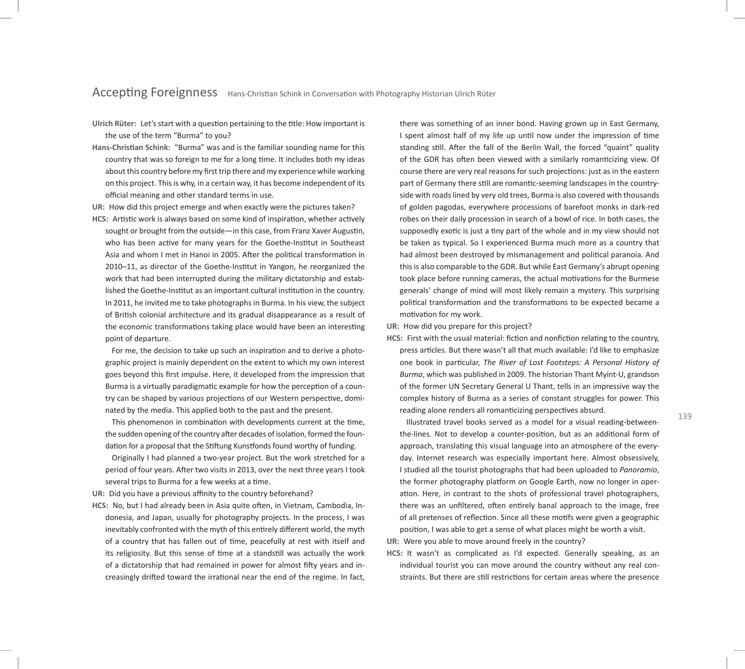**Ulrich Rüter:** Let's start with a queston pertaining to the ttle: How important is the use of the term "Burma" to you?

**Hans-Christan Schink:** "Burma" was and is the familiar sounding name for this country that was so foreign to me for a long tme. It includes both my ideas about this country before my frst trip there and my experience while working on this project. This is why, in a certain way, it has become independent of its official meaning and other standard terms in use.

**UR:** How did this project emerge and when exactly were the pictures taken?

HCS: Artistic work is always based on some kind of inspiration, whether actively sought or brought from the outside—in this case, from Franz Xaver Augustin, who has been active for many years for the Goethe-Institut in Southeast Asia and whom I met in Hanoi in 2005. After the political transformation in 2010–11, as director of the Goethe-Insttut in Yangon, he reorganized the work that had been interrupted during the military dictatorship and established the Goethe-Institut as an important cultural institution in the country. In 2011, he invited me to take photographs in Burma. In his view, the subject of Britsh colonial architecture and its gradual disappearance as a result of the economic transformations taking place would have been an interesting point of departure.

For me, the decision to take up such an inspiration and to derive a photographic project is mainly dependent on the extent to which my own interest goes beyond this frst impulse. Here, it developed from the impression that Burma is a virtually paradigmatic example for how the perception of a country can be shaped by various projections of our Western perspective, dominated by the media. This applied both to the past and the present.

This phenomenon in combination with developments current at the time, the sudden opening of the country after decades of isolation, formed the foundation for a proposal that the Stiftung Kunstfonds found worthy of funding.

Originally I had planned a two-year project. But the work stretched for a period of four years. Afer two visits in 2013, over the next three years I took several trips to Burma for a few weeks at a tme.

UR: Did you have a previous affinity to the country beforehand?

HCS: No, but I had already been in Asia quite often, in Vietnam, Cambodia, Indonesia, and Japan, usually for photography projects. In the process, I was inevitably confronted with the myth of this entrely diferent world, the myth of a country that has fallen out of tme, peacefully at rest with itself and its religiosity. But this sense of time at a standstill was actually the work of a dictatorship that had remained in power for almost fifty years and increasingly drifed toward the irratonal near the end of the regime. In fact,

there was something of an inner bond. Having grown up in East Germany, I spent almost half of my life up until now under the impression of time standing still. After the fall of the Berlin Wall, the forced "quaint" quality of the GDR has often been viewed with a similarly romanticizing view. Of course there are very real reasons for such projections: just as in the eastern part of Germany there still are romantic-seeming landscapes in the countryside with roads lined by very old trees, Burma is also covered with thousands of golden pagodas, everywhere processions of barefoot monks in dark-red robes on their daily procession in search of a bowl of rice. In both cases, the supposedly exotic is just a tiny part of the whole and in my view should not be taken as typical. So I experienced Burma much more as a country that had almost been destroyed by mismanagement and political paranoia. And this is also comparable to the GDR. But while East Germany's abrupt opening took place before running cameras, the actual motivations for the Burmese generals' change of mind will most likely remain a mystery. This surprising political transformation and the transformations to be expected became a motivation for my work.

**UR:** How did you prepare for this project?

**HCS:** First with the usual material: fiction and nonfiction relating to the country, press articles. But there wasn't all that much available: I'd like to emphasize one book in partcular, *The River of Lost Footsteps: A Personal History of Burma*, which was published in 2009. The historian Thant Myint-U, grandson of the former UN Secretary General U Thant, tells in an impressive way the complex history of Burma as a series of constant struggles for power. This reading alone renders all romanticizing perspectives absurd.

Illustrated travel books served as a model for a visual reading-betweenthe-lines. Not to develop a counter-positon, but as an additonal form of approach, translating this visual language into an atmosphere of the everyday. Internet research was especially important here. Almost obsessively, I studied all the tourist photographs that had been uploaded to *Panoramio*, the former photography platform on Google Earth, now no longer in operaton. Here, in contrast to the shots of professional travel photographers, there was an unfiltered, often entirely banal approach to the image, free of all pretenses of refecton. Since all these motfs were given a geographic positon, I was able to get a sense of what places might be worth a visit.

**UR:** Were you able to move around freely in the country?

**HCS:** It wasn't as complicated as I'd expected. Generally speaking, as an individual tourist you can move around the country without any real constraints. But there are still restrictions for certain areas where the presence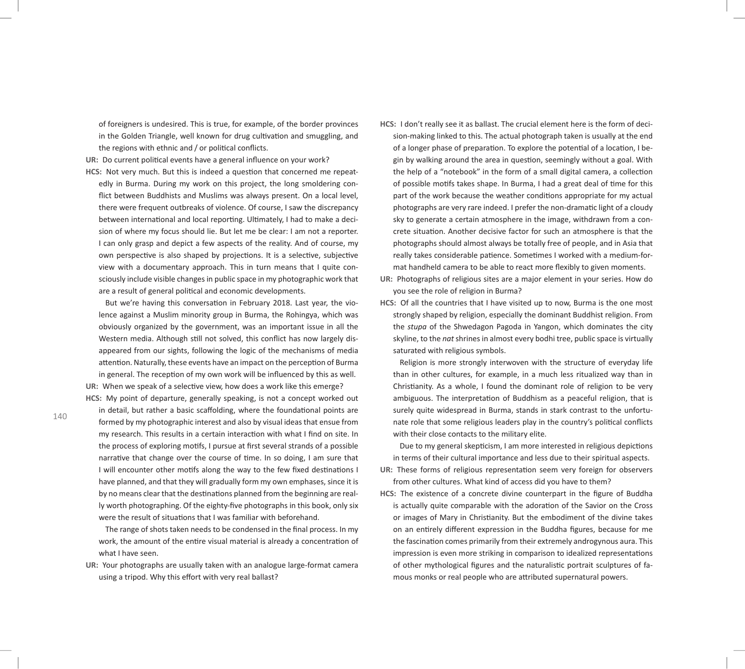of foreigners is undesired. This is true, for example, of the border provinces in the Golden Triangle, well known for drug cultivation and smuggling, and the regions with ethnic and / or political conflicts.

- UR: Do current political events have a general influence on your work?
- **HCS:** Not very much. But this is indeed a queston that concerned me repeatedly in Burma. During my work on this project, the long smoldering confict between Buddhists and Muslims was always present. On a local level, there were frequent outbreaks of violence. Of course, I saw the discrepancy between international and local reporting. Ultimately, I had to make a decision of where my focus should lie. But let me be clear: I am not a reporter. I can only grasp and depict a few aspects of the reality. And of course, my own perspective is also shaped by projections. It is a selective, subjective view with a documentary approach. This in turn means that I quite consciously include visible changes in public space in my photographic work that are a result of general political and economic developments.

But we're having this conversaton in February 2018. Last year, the violence against a Muslim minority group in Burma, the Rohingya, which was obviously organized by the government, was an important issue in all the Western media. Although still not solved, this conflict has now largely disappeared from our sights, following the logic of the mechanisms of media attention. Naturally, these events have an impact on the perception of Burma in general. The reception of my own work will be influenced by this as well.

UR: When we speak of a selective view, how does a work like this emerge? **HCS:** My point of departure, generally speaking, is not a concept worked out

in detail, but rather a basic scaffolding, where the foundational points are formed by my photographic interest and also by visual ideas that ensue from my research. This results in a certain interaction with what I find on site. In the process of exploring motfs, I pursue at frst several strands of a possible narrative that change over the course of time. In so doing, I am sure that I will encounter other motifs along the way to the few fixed destinations I have planned, and that they will gradually form my own emphases, since it is by no means clear that the destnatons planned from the beginning are really worth photographing. Of the eighty-fve photographs in this book, only six were the result of situations that I was familiar with beforehand.

The range of shots taken needs to be condensed in the fnal process. In my work, the amount of the entire visual material is already a concentration of what I have seen.

**UR:** Your photographs are usually taken with an analogue large-format camera using a tripod. Why this effort with very real ballast?

**HCS:** I don't really see it as ballast. The crucial element here is the form of decision-making linked to this. The actual photograph taken is usually at the end of a longer phase of preparation. To explore the potential of a location, I begin by walking around the area in question, seemingly without a goal. With the help of a "notebook" in the form of a small digital camera, a collection of possible motfs takes shape. In Burma, I had a great deal of tme for this part of the work because the weather conditons appropriate for my actual photographs are very rare indeed. I prefer the non-dramatic light of a cloudy sky to generate a certain atmosphere in the image, withdrawn from a concrete situaton. Another decisive factor for such an atmosphere is that the photographs should almost always be totally free of people, and in Asia that really takes considerable patience. Sometimes I worked with a medium-format handheld camera to be able to react more fexibly to given moments.

**UR:** Photographs of religious sites are a major element in your series. How do you see the role of religion in Burma?

**HCS:** Of all the countries that I have visited up to now, Burma is the one most strongly shaped by religion, especially the dominant Buddhist religion. From the *stupa* of the Shwedagon Pagoda in Yangon, which dominates the city skyline, to the *nat* shrines in almost every bodhi tree, public space is virtually saturated with religious symbols.

Religion is more strongly interwoven with the structure of everyday life than in other cultures, for example, in a much less ritualized way than in Christanity. As a whole, I found the dominant role of religion to be very ambiguous. The interpretation of Buddhism as a peaceful religion, that is surely quite widespread in Burma, stands in stark contrast to the unfortunate role that some religious leaders play in the country's political conflicts with their close contacts to the military elite.

Due to my general skepticism, I am more interested in religious depictions in terms of their cultural importance and less due to their spiritual aspects.

- UR: These forms of religious representation seem very foreign for observers from other cultures. What kind of access did you have to them?
- **HCS:** The existence of a concrete divine counterpart in the fgure of Buddha is actually quite comparable with the adoration of the Savior on the Cross or images of Mary in Christanity. But the embodiment of the divine takes on an entrely diferent expression in the Buddha fgures, because for me the fascination comes primarily from their extremely androgynous aura. This impression is even more striking in comparison to idealized representations of other mythological figures and the naturalistic portrait sculptures of famous monks or real people who are atributed supernatural powers.